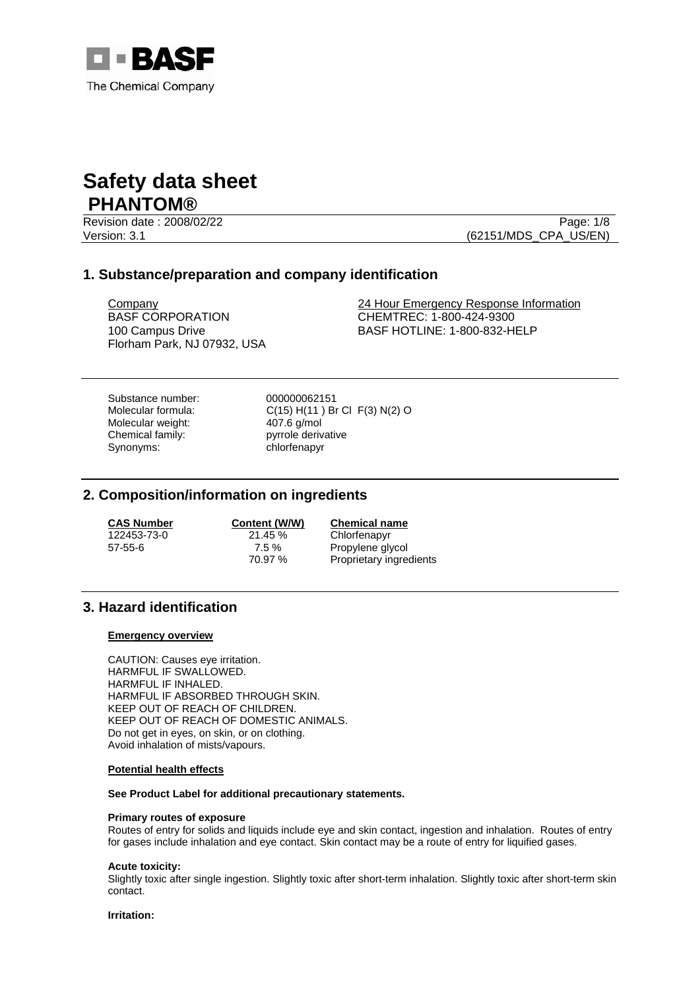

Revision date : 2008/02/22 Page: 1/8

Version: 3.1 (62151/MDS\_CPA\_US/EN)

# **1. Substance/preparation and company identification**

BASF CORPORATION 100 Campus Drive Florham Park, NJ 07932, USA

Company 24 Hour Emergency Response Information CHEMTREC: 1-800-424-9300 BASF HOTLINE: 1-800-832-HELP

Substance number: 000000062151<br>Molecular formula: C(15) H(11) B Molecular weight: 407.6 g/mol Chemical family: pyrrole derivative Synonyms: chlorfenapyr

C(15) H(11) Br Cl F(3) N(2) O

# **2. Composition/information on ingredients**

**CAS Number**<br>122453-73-0<br>21.45 % Chlorfenapyr Chlorfenapyr 57-55-6 7.5 % Propylene glycol Proprietary ingredients

# **3. Hazard identification**

### **Emergency overview**

CAUTION: Causes eye irritation. HARMFUL IF SWALLOWED. HARMFUL IF INHALED. HARMFUL IF ABSORBED THROUGH SKIN. KEEP OUT OF REACH OF CHILDREN. KEEP OUT OF REACH OF DOMESTIC ANIMALS. Do not get in eyes, on skin, or on clothing. Avoid inhalation of mists/vapours.

## **Potential health effects**

**See Product Label for additional precautionary statements.** 

### **Primary routes of exposure**

Routes of entry for solids and liquids include eye and skin contact, ingestion and inhalation. Routes of entry for gases include inhalation and eye contact. Skin contact may be a route of entry for liquified gases.

### **Acute toxicity:**

Slightly toxic after single ingestion. Slightly toxic after short-term inhalation. Slightly toxic after short-term skin contact.

**Irritation:**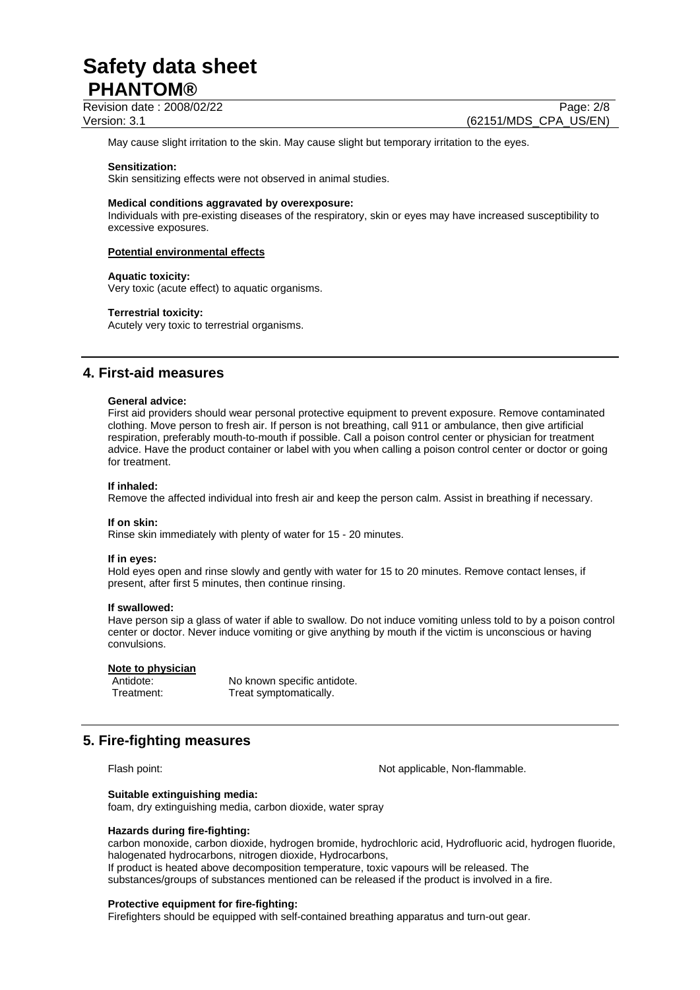Revision date : 2008/02/22 Page: 2/8

Version: 3.1 (62151/MDS\_CPA\_US/EN)

May cause slight irritation to the skin. May cause slight but temporary irritation to the eyes.

#### **Sensitization:**

Skin sensitizing effects were not observed in animal studies.

#### **Medical conditions aggravated by overexposure:**

Individuals with pre-existing diseases of the respiratory, skin or eyes may have increased susceptibility to excessive exposures.

#### **Potential environmental effects**

#### **Aquatic toxicity:**

Very toxic (acute effect) to aquatic organisms.

#### **Terrestrial toxicity:**

Acutely very toxic to terrestrial organisms.

## **4. First-aid measures**

#### **General advice:**

First aid providers should wear personal protective equipment to prevent exposure. Remove contaminated clothing. Move person to fresh air. If person is not breathing, call 911 or ambulance, then give artificial respiration, preferably mouth-to-mouth if possible. Call a poison control center or physician for treatment advice. Have the product container or label with you when calling a poison control center or doctor or going for treatment.

### **If inhaled:**

Remove the affected individual into fresh air and keep the person calm. Assist in breathing if necessary.

## **If on skin:**

Rinse skin immediately with plenty of water for 15 - 20 minutes.

#### **If in eyes:**

Hold eyes open and rinse slowly and gently with water for 15 to 20 minutes. Remove contact lenses, if present, after first 5 minutes, then continue rinsing.

#### **If swallowed:**

Have person sip a glass of water if able to swallow. Do not induce vomiting unless told to by a poison control center or doctor. Never induce vomiting or give anything by mouth if the victim is unconscious or having convulsions.

#### **Note to physician**

Antidote: No known specific antidote. Treatment: Treat symptomatically.

# **5. Fire-fighting measures**

Flash point: Not applicable, Non-flammable.

#### **Suitable extinguishing media:**

foam, dry extinguishing media, carbon dioxide, water spray

#### **Hazards during fire-fighting:**

carbon monoxide, carbon dioxide, hydrogen bromide, hydrochloric acid, Hydrofluoric acid, hydrogen fluoride, halogenated hydrocarbons, nitrogen dioxide, Hydrocarbons, If product is heated above decomposition temperature, toxic vapours will be released. The substances/groups of substances mentioned can be released if the product is involved in a fire.

#### **Protective equipment for fire-fighting:**

Firefighters should be equipped with self-contained breathing apparatus and turn-out gear.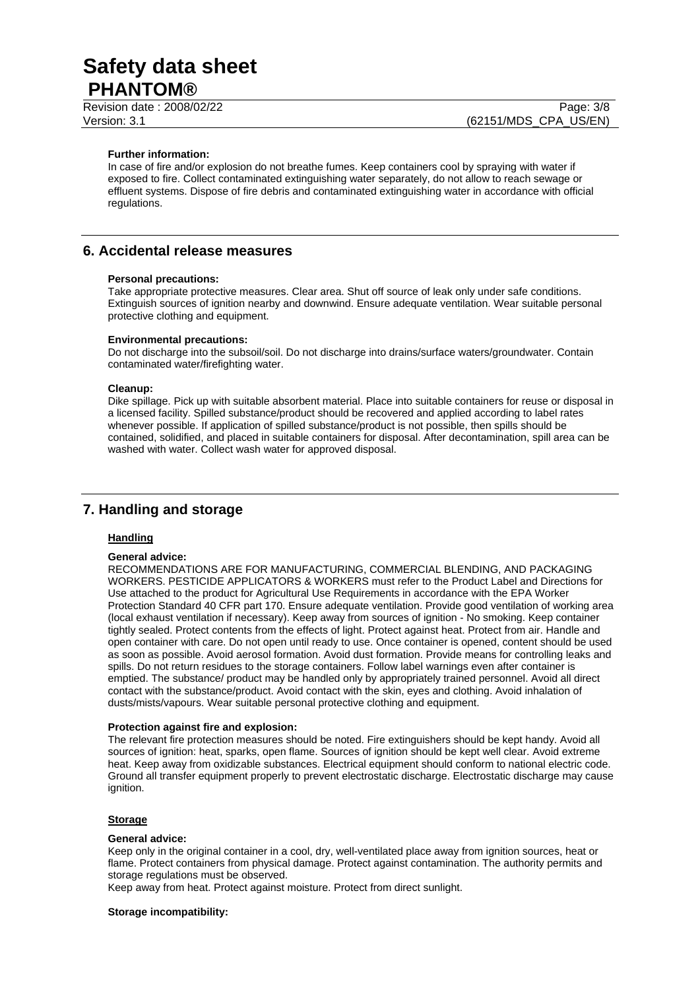Revision date : 2008/02/22 Page: 3/8 Version: 3.1 (62151/MDS\_CPA\_US/EN)

#### **Further information:**

In case of fire and/or explosion do not breathe fumes. Keep containers cool by spraying with water if exposed to fire. Collect contaminated extinguishing water separately, do not allow to reach sewage or effluent systems. Dispose of fire debris and contaminated extinguishing water in accordance with official regulations.

## **6. Accidental release measures**

#### **Personal precautions:**

Take appropriate protective measures. Clear area. Shut off source of leak only under safe conditions. Extinguish sources of ignition nearby and downwind. Ensure adequate ventilation. Wear suitable personal protective clothing and equipment.

#### **Environmental precautions:**

Do not discharge into the subsoil/soil. Do not discharge into drains/surface waters/groundwater. Contain contaminated water/firefighting water.

#### **Cleanup:**

Dike spillage. Pick up with suitable absorbent material. Place into suitable containers for reuse or disposal in a licensed facility. Spilled substance/product should be recovered and applied according to label rates whenever possible. If application of spilled substance/product is not possible, then spills should be contained, solidified, and placed in suitable containers for disposal. After decontamination, spill area can be washed with water. Collect wash water for approved disposal.

# **7. Handling and storage**

## **Handling**

#### **General advice:**

RECOMMENDATIONS ARE FOR MANUFACTURING, COMMERCIAL BLENDING, AND PACKAGING WORKERS. PESTICIDE APPLICATORS & WORKERS must refer to the Product Label and Directions for Use attached to the product for Agricultural Use Requirements in accordance with the EPA Worker Protection Standard 40 CFR part 170. Ensure adequate ventilation. Provide good ventilation of working area (local exhaust ventilation if necessary). Keep away from sources of ignition - No smoking. Keep container tightly sealed. Protect contents from the effects of light. Protect against heat. Protect from air. Handle and open container with care. Do not open until ready to use. Once container is opened, content should be used as soon as possible. Avoid aerosol formation. Avoid dust formation. Provide means for controlling leaks and spills. Do not return residues to the storage containers. Follow label warnings even after container is emptied. The substance/ product may be handled only by appropriately trained personnel. Avoid all direct contact with the substance/product. Avoid contact with the skin, eyes and clothing. Avoid inhalation of dusts/mists/vapours. Wear suitable personal protective clothing and equipment.

#### **Protection against fire and explosion:**

The relevant fire protection measures should be noted. Fire extinguishers should be kept handy. Avoid all sources of ignition: heat, sparks, open flame. Sources of ignition should be kept well clear. Avoid extreme heat. Keep away from oxidizable substances. Electrical equipment should conform to national electric code. Ground all transfer equipment properly to prevent electrostatic discharge. Electrostatic discharge may cause ignition.

## **Storage**

#### **General advice:**

Keep only in the original container in a cool, dry, well-ventilated place away from ignition sources, heat or flame. Protect containers from physical damage. Protect against contamination. The authority permits and storage regulations must be observed.

Keep away from heat. Protect against moisture. Protect from direct sunlight.

#### **Storage incompatibility:**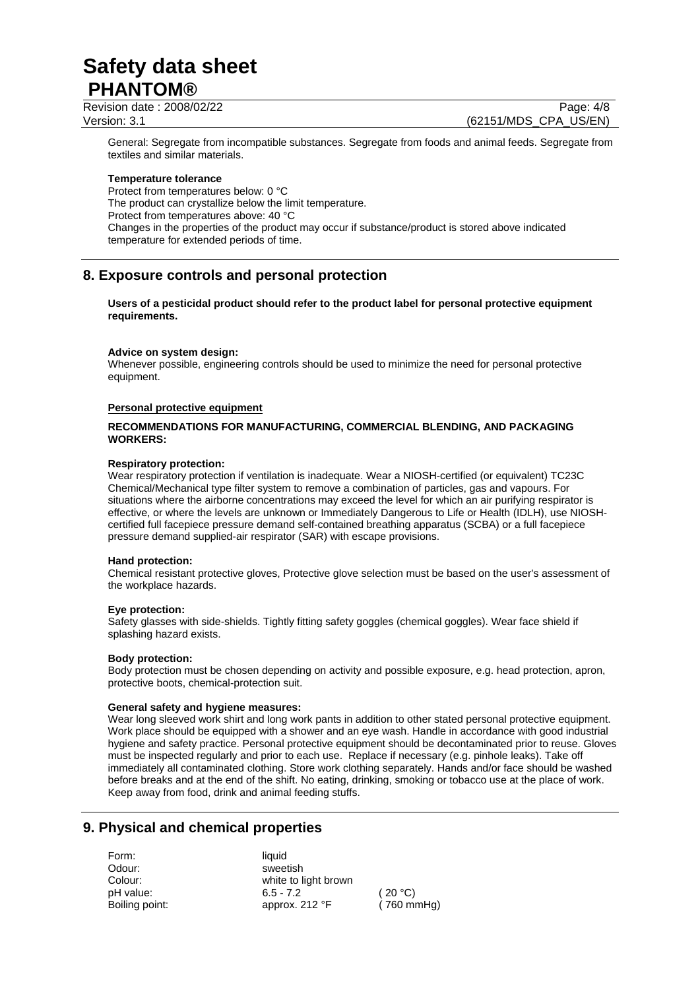Revision date : 2008/02/22 Page: 4/8 Version: 3.1 (62151/MDS\_CPA\_US/EN)

General: Segregate from incompatible substances. Segregate from foods and animal feeds. Segregate from textiles and similar materials.

### **Temperature tolerance**

Protect from temperatures below: 0 °C The product can crystallize below the limit temperature. Protect from temperatures above: 40 °C Changes in the properties of the product may occur if substance/product is stored above indicated temperature for extended periods of time.

# **8. Exposure controls and personal protection**

**Users of a pesticidal product should refer to the product label for personal protective equipment requirements.** 

### **Advice on system design:**

Whenever possible, engineering controls should be used to minimize the need for personal protective equipment.

### **Personal protective equipment**

## **RECOMMENDATIONS FOR MANUFACTURING, COMMERCIAL BLENDING, AND PACKAGING WORKERS:**

### **Respiratory protection:**

Wear respiratory protection if ventilation is inadequate. Wear a NIOSH-certified (or equivalent) TC23C Chemical/Mechanical type filter system to remove a combination of particles, gas and vapours. For situations where the airborne concentrations may exceed the level for which an air purifying respirator is effective, or where the levels are unknown or Immediately Dangerous to Life or Health (IDLH), use NIOSHcertified full facepiece pressure demand self-contained breathing apparatus (SCBA) or a full facepiece pressure demand supplied-air respirator (SAR) with escape provisions.

### **Hand protection:**

Chemical resistant protective gloves, Protective glove selection must be based on the user's assessment of the workplace hazards.

### **Eye protection:**

Safety glasses with side-shields. Tightly fitting safety goggles (chemical goggles). Wear face shield if splashing hazard exists.

### **Body protection:**

Body protection must be chosen depending on activity and possible exposure, e.g. head protection, apron, protective boots, chemical-protection suit.

## **General safety and hygiene measures:**

Wear long sleeved work shirt and long work pants in addition to other stated personal protective equipment. Work place should be equipped with a shower and an eye wash. Handle in accordance with good industrial hygiene and safety practice. Personal protective equipment should be decontaminated prior to reuse. Gloves must be inspected regularly and prior to each use. Replace if necessary (e.g. pinhole leaks). Take off immediately all contaminated clothing. Store work clothing separately. Hands and/or face should be washed before breaks and at the end of the shift. No eating, drinking, smoking or tobacco use at the place of work. Keep away from food, drink and animal feeding stuffs.

# **9. Physical and chemical properties**

Form: liquid Odour: sweetish

Colour: white to light brown pH value: 6.5 - 7.2 (20 °C) Boiling point: approx. 212 °F (760 mmHg)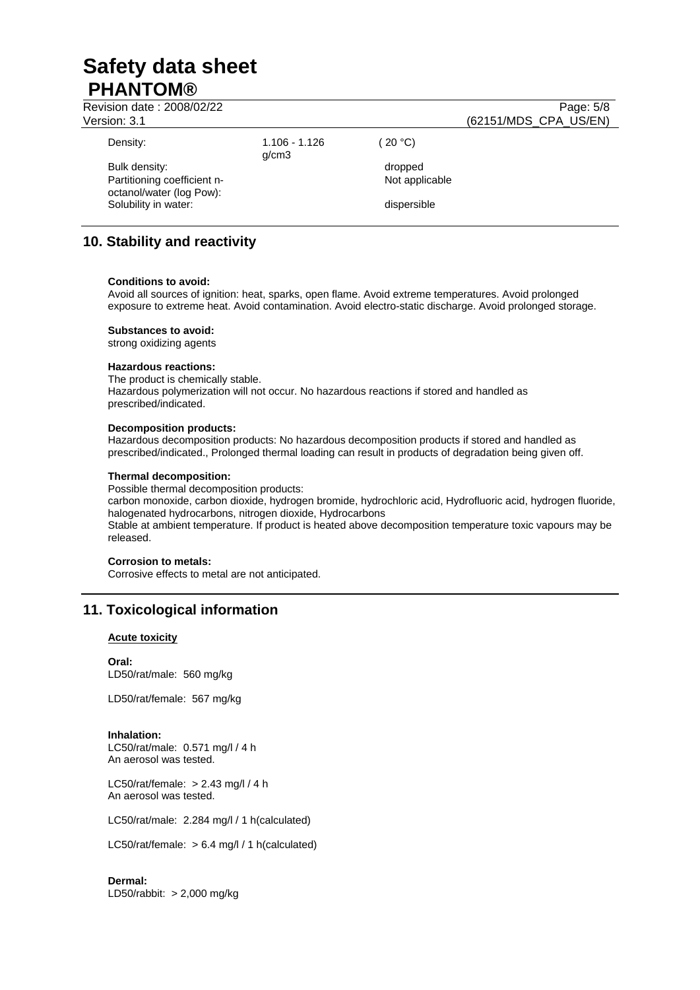| Revision date: 2008/02/22<br>Version: 3.1               |                          |                | Page: 5/8<br>(62151/MDS_CPA_US/EN) |
|---------------------------------------------------------|--------------------------|----------------|------------------------------------|
| Density:                                                | $1.106 - 1.126$<br>q/cm3 | (20 °C)        |                                    |
| Bulk density:                                           |                          | dropped        |                                    |
| Partitioning coefficient n-<br>octanol/water (log Pow): |                          | Not applicable |                                    |
| Solubility in water:                                    |                          | dispersible    |                                    |

# **10. Stability and reactivity**

## **Conditions to avoid:**

Avoid all sources of ignition: heat, sparks, open flame. Avoid extreme temperatures. Avoid prolonged exposure to extreme heat. Avoid contamination. Avoid electro-static discharge. Avoid prolonged storage.

**Substances to avoid:**

strong oxidizing agents

### **Hazardous reactions:**

The product is chemically stable. Hazardous polymerization will not occur. No hazardous reactions if stored and handled as prescribed/indicated.

## **Decomposition products:**

Hazardous decomposition products: No hazardous decomposition products if stored and handled as prescribed/indicated., Prolonged thermal loading can result in products of degradation being given off.

## **Thermal decomposition:**

Possible thermal decomposition products:

carbon monoxide, carbon dioxide, hydrogen bromide, hydrochloric acid, Hydrofluoric acid, hydrogen fluoride, halogenated hydrocarbons, nitrogen dioxide, Hydrocarbons Stable at ambient temperature. If product is heated above decomposition temperature toxic vapours may be released.

### **Corrosion to metals:**

Corrosive effects to metal are not anticipated.

# **11. Toxicological information**

## **Acute toxicity**

**Oral:**  LD50/rat/male: 560 mg/kg

LD50/rat/female: 567 mg/kg

### **Inhalation:**

LC50/rat/male: 0.571 mg/l / 4 h An aerosol was tested.

LC50/rat/female: > 2.43 mg/l / 4 h An aerosol was tested.

LC50/rat/male: 2.284 mg/l / 1 h(calculated)

LC50/rat/female: > 6.4 mg/l / 1 h(calculated)

**Dermal:**  LD50/rabbit: > 2,000 mg/kg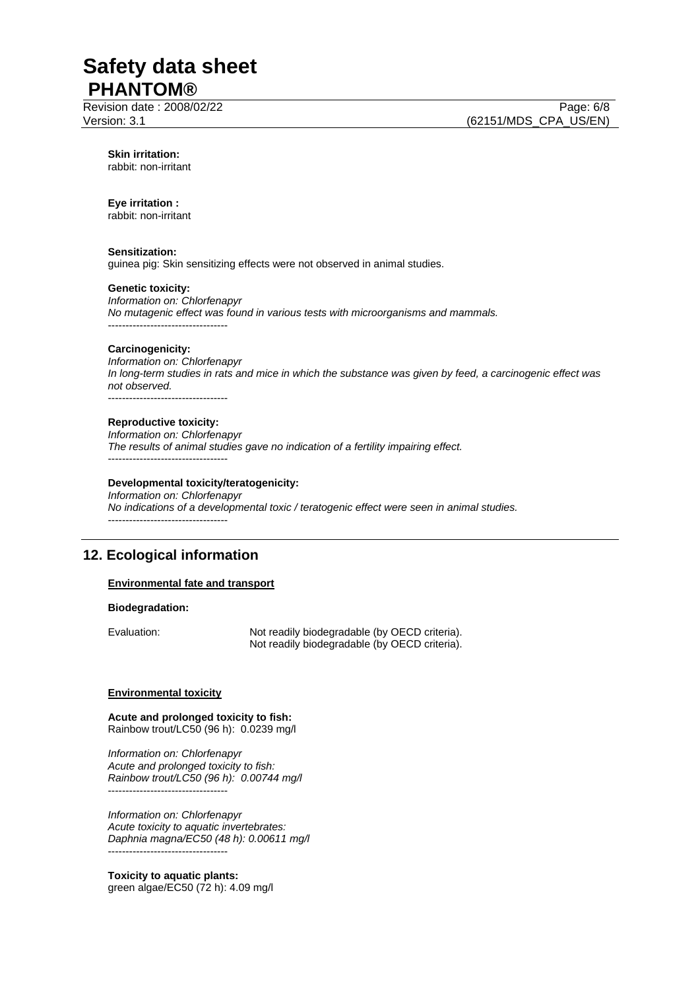Revision date : 2008/02/22 Page: 6/8

**Skin irritation:**  rabbit: non-irritant

### **Eye irritation :**

rabbit: non-irritant

## **Sensitization:**

guinea pig: Skin sensitizing effects were not observed in animal studies.

## **Genetic toxicity:**

*Information on: Chlorfenapyr No mutagenic effect was found in various tests with microorganisms and mammals.*  ----------------------------------

### **Carcinogenicity:**

*Information on: Chlorfenapyr In long-term studies in rats and mice in which the substance was given by feed, a carcinogenic effect was not observed.*  ----------------------------------

#### **Reproductive toxicity:**

*Information on: Chlorfenapyr The results of animal studies gave no indication of a fertility impairing effect.*  -----------------------------------

## **Developmental toxicity/teratogenicity:**

*Information on: Chlorfenapyr No indications of a developmental toxic / teratogenic effect were seen in animal studies.*  ----------------------------------

# **12. Ecological information**

### **Environmental fate and transport**

#### **Biodegradation:**

Evaluation: Not readily biodegradable (by OECD criteria). Not readily biodegradable (by OECD criteria).

#### **Environmental toxicity**

**Acute and prolonged toxicity to fish:**  Rainbow trout/LC50 (96 h): 0.0239 mg/l

*Information on: Chlorfenapyr Acute and prolonged toxicity to fish: Rainbow trout/LC50 (96 h): 0.00744 mg/l*  ----------------------------------

*Information on: Chlorfenapyr Acute toxicity to aquatic invertebrates: Daphnia magna/EC50 (48 h): 0.00611 mg/l*  ----------------------------------

**Toxicity to aquatic plants:**  green algae/EC50 (72 h): 4.09 mg/l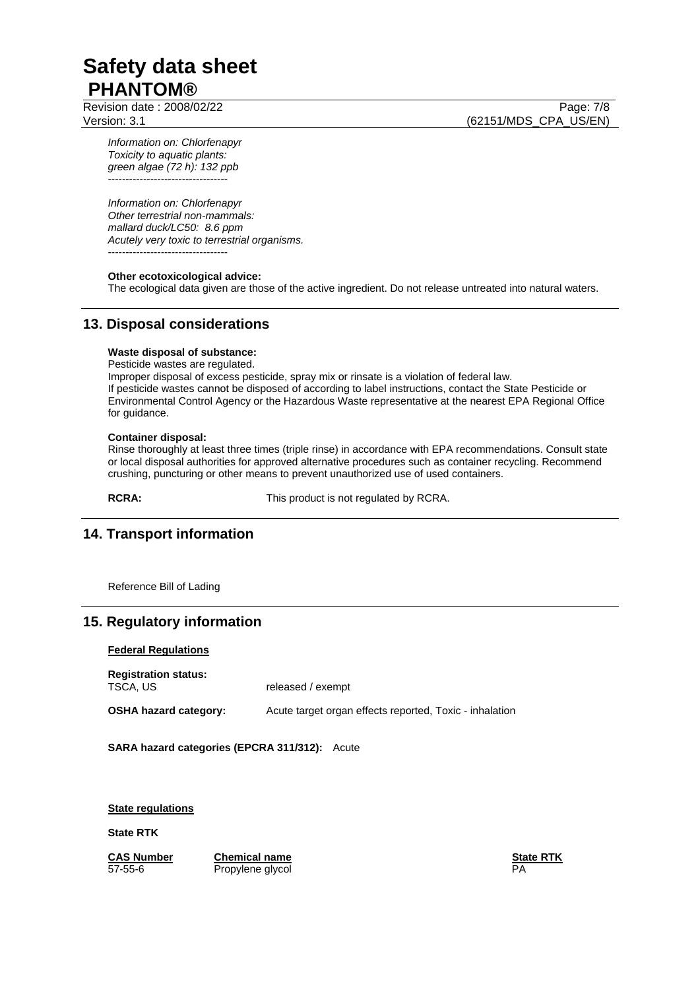Revision date : 2008/02/22 Page: 7/8

Version: 3.1 (62151/MDS\_CPA\_US/EN)

*Information on: Chlorfenapyr Toxicity to aquatic plants: green algae (72 h): 132 ppb*  -----------------------------------

*Information on: Chlorfenapyr Other terrestrial non-mammals: mallard duck/LC50: 8.6 ppm Acutely very toxic to terrestrial organisms.*  -----------------------------------

## **Other ecotoxicological advice:**

The ecological data given are those of the active ingredient. Do not release untreated into natural waters.

# **13. Disposal considerations**

## **Waste disposal of substance:**

Pesticide wastes are regulated.

Improper disposal of excess pesticide, spray mix or rinsate is a violation of federal law. If pesticide wastes cannot be disposed of according to label instructions, contact the State Pesticide or Environmental Control Agency or the Hazardous Waste representative at the nearest EPA Regional Office for guidance.

### **Container disposal:**

Rinse thoroughly at least three times (triple rinse) in accordance with EPA recommendations. Consult state or local disposal authorities for approved alternative procedures such as container recycling. Recommend crushing, puncturing or other means to prevent unauthorized use of used containers.

**RCRA:** This product is not regulated by RCRA.

# **14. Transport information**

Reference Bill of Lading

# **15. Regulatory information**

### **Federal Regulations**

**Registration status:** 

released / exempt

**OSHA hazard category:** Acute target organ effects reported, Toxic - inhalation

**SARA hazard categories (EPCRA 311/312):** Acute

**State regulations**

**State RTK**

**CAS Number Chemical name State RTK** Propylene glycol